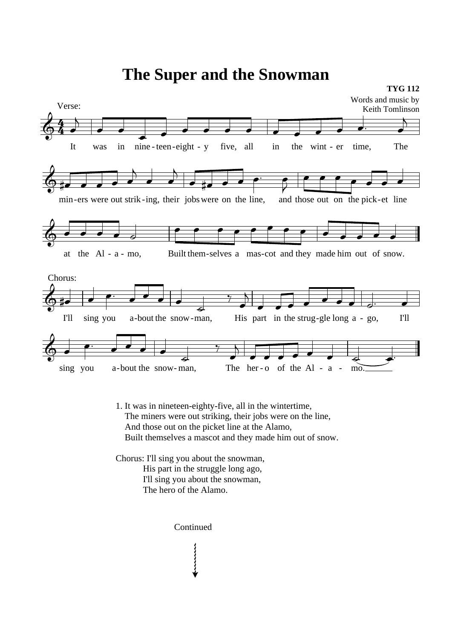## $\overline{4}$  $\frac{4}{4}$ Words and music by Keith Tomlinson **TYG 112**  $\Phi$ It Verse: was  $\frac{1}{\bullet}$  $\overline{B}$ in nine - teen - eight  $\overrightarrow{\cdot}$  $\overrightarrow{ }$ - eight - y five, all in  $\overrightarrow{\cdot}$ the wint - er time,  $\overrightarrow{a}$ The  $\overline{\phantom{a}}$  $\overline{ }$  $\Phi$ min-ers were out strik-ing, their jobs were on the line,  $\frac{1}{4}$   $\frac{1}{4}$   $\frac{1}{4}$   $\frac{1}{4}$   $\frac{1}{4}$   $\frac{1}{4}$   $\frac{1}{4}$   $\frac{1}{4}$   $\frac{1}{4}$   $\frac{1}{4}$   $\frac{1}{4}$   $\frac{1}{4}$   $\frac{1}{4}$   $\frac{1}{4}$   $\frac{1}{4}$   $\frac{1}{4}$   $\frac{1}{4}$   $\frac{1}{4}$   $\frac{1}{4}$   $\frac{1}{4}$   $\frac{1}{4}$   $\frac{1}{4}$   $\overline{\bullet}$  $\overline{A}$  $\overline{\bullet}$  $\overline{\phantom{a}}$  $\overline{A}$  $\overrightarrow{e}$   $\overrightarrow{e}$ and those out on the pick-et line  $\overline{\mathbf{R}}$ ₹  $\overline{\qquad \qquad }$  $\overrightarrow{\cdot}$  $\Phi$ at the  $Al - a - mo$ ,  $\bullet$   $\bullet$   $\bullet$   $\circ$ - mo, Built them-selves a mas-cot and they made him out of snow.  $\bullet$   $\bullet$   $\bullet$   $\bullet$  $\overrightarrow{ }$  $\overrightarrow{ }$  $\Phi$ I'll Chorus:  $\overline{\bullet}$ sing you  $\overline{\phantom{a}}$  $\overline{\mathbf{P}}$ a-bout the snow-man,  $\overrightarrow{z}$  $\exists$  $\frac{1}{\gamma}$ His part in the strug-gle long  $a - go$ , I'll  $\overline{\phantom{a}}$  $\frac{1}{\sqrt{2}}$  $\overline{\phantom{a}}$  $\overline{\phantom{a}}$  $\overrightarrow{a}$  $\overline{\phantom{a}}$  $\Phi$ sing you  $\overline{\bullet}$  $\overline{\phantom{a}}$ a-bout the snow-man,  $\overrightarrow{z}$  $\overline{\mathbf{z}}$ -  $\frac{1}{7}$ The her-o of the Al -  $a$  - mo.  $\overline{\phantom{a}}$  $\overline{A}$  $\overrightarrow{a}$  $\overline{\phantom{a}}$ mo.  $\frac{1}{\bullet}$

**The Super and the Snowman**

1. It was in nineteen-eighty-five, all in the wintertime, The miners were out striking, their jobs were on the line, And those out on the picket line at the Alamo, Built themselves a mascot and they made him out of snow.

Chorus: I'll sing you about the snowman, His part in the struggle long ago, I'll sing you about the snowman, The hero of the Alamo.

> Continued **MANAGERY**